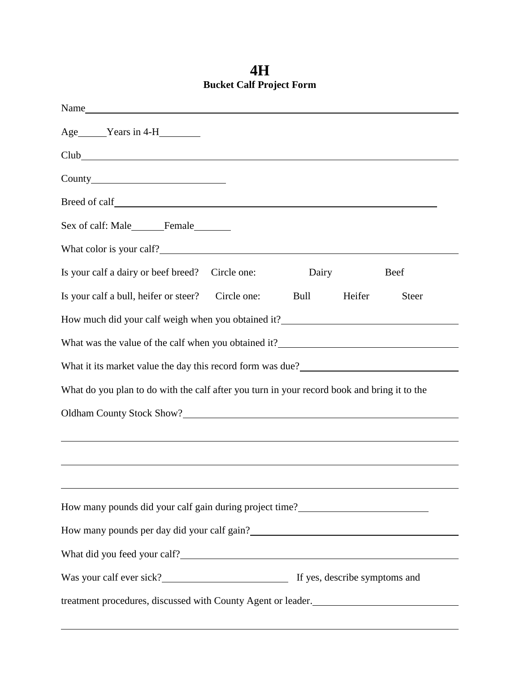**4H Bucket Calf Project Form**

| Age Years in 4-H                                                                                                                                                                                                                       |       |        |             |
|----------------------------------------------------------------------------------------------------------------------------------------------------------------------------------------------------------------------------------------|-------|--------|-------------|
| Club                                                                                                                                                                                                                                   |       |        |             |
|                                                                                                                                                                                                                                        |       |        |             |
|                                                                                                                                                                                                                                        |       |        |             |
| Sex of calf: Male________Female_________                                                                                                                                                                                               |       |        |             |
| What color is your calf?                                                                                                                                                                                                               |       |        |             |
| Is your calf a dairy or beef breed? Circle one:                                                                                                                                                                                        | Dairy |        | <b>Beef</b> |
| Is your calf a bull, heifer or steer?<br>Circle one:                                                                                                                                                                                   | Bull  | Heifer | Steer       |
| How much did your calf weigh when you obtained it?_______________________________                                                                                                                                                      |       |        |             |
| What was the value of the calf when you obtained it?                                                                                                                                                                                   |       |        |             |
| What it its market value the day this record form was due?<br><u>Letting</u> the same and the same and the same and the same and the same and the same and the same and the same same same same and the same same same same same same  |       |        |             |
| What do you plan to do with the calf after you turn in your record book and bring it to the                                                                                                                                            |       |        |             |
|                                                                                                                                                                                                                                        |       |        |             |
|                                                                                                                                                                                                                                        |       |        |             |
|                                                                                                                                                                                                                                        |       |        |             |
|                                                                                                                                                                                                                                        |       |        |             |
| How many pounds did your calf gain during project time?<br><u>Lettime</u> 2                                                                                                                                                            |       |        |             |
| How many pounds per day did your calf gain?<br><u>Letter and the set of the set of the set of the set of the set of the set of the set of the set of the set of the set of the set of the set of the set of the set of the set of </u> |       |        |             |
|                                                                                                                                                                                                                                        |       |        |             |
|                                                                                                                                                                                                                                        |       |        |             |
| treatment procedures, discussed with County Agent or leader.                                                                                                                                                                           |       |        |             |
|                                                                                                                                                                                                                                        |       |        |             |

 $\overline{a}$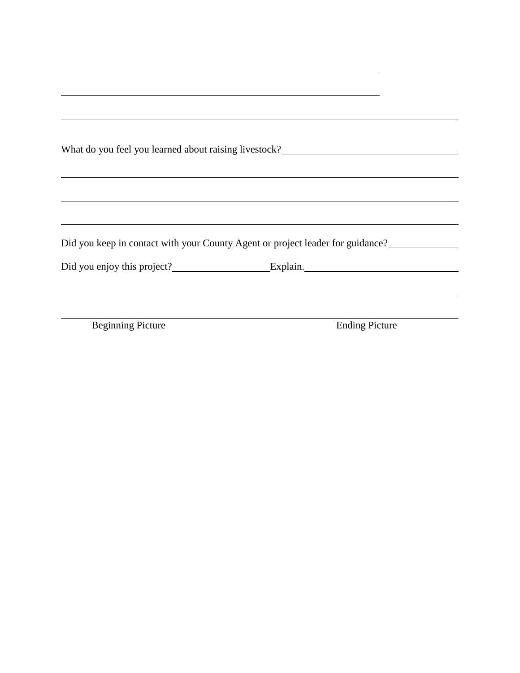| What do you feel you learned about raising livestock?                          |
|--------------------------------------------------------------------------------|
|                                                                                |
|                                                                                |
| Did you keep in contact with your County Agent or project leader for guidance? |
| Did you enjoy this project? Explain.                                           |

Beginning Picture Ending Picture

 $\overline{a}$ 

 $\overline{a}$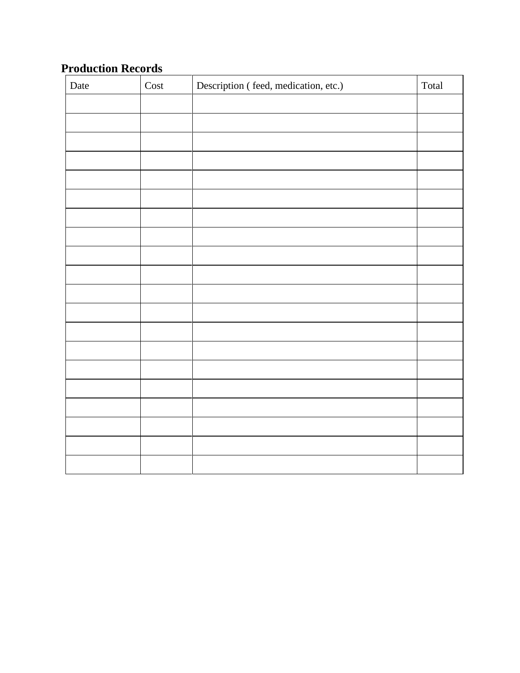## **Production Records**

| Date | Cost | Description (feed, medication, etc.) | Total |
|------|------|--------------------------------------|-------|
|      |      |                                      |       |
|      |      |                                      |       |
|      |      |                                      |       |
|      |      |                                      |       |
|      |      |                                      |       |
|      |      |                                      |       |
|      |      |                                      |       |
|      |      |                                      |       |
|      |      |                                      |       |
|      |      |                                      |       |
|      |      |                                      |       |
|      |      |                                      |       |
|      |      |                                      |       |
|      |      |                                      |       |
|      |      |                                      |       |
|      |      |                                      |       |
|      |      |                                      |       |
|      |      |                                      |       |
|      |      |                                      |       |
|      |      |                                      |       |